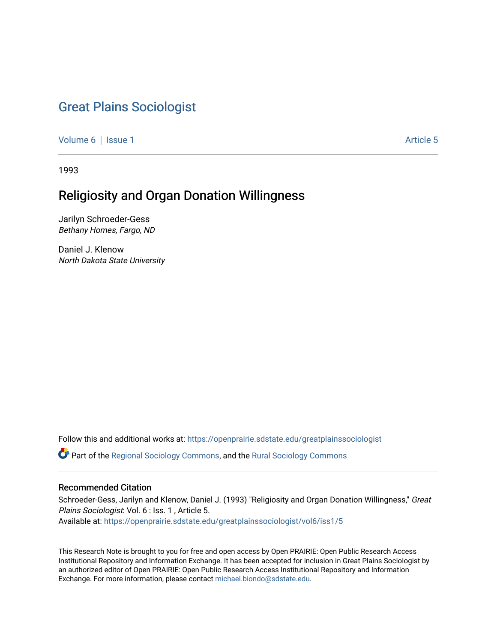# [Great Plains Sociologist](https://openprairie.sdstate.edu/greatplainssociologist)

[Volume 6](https://openprairie.sdstate.edu/greatplainssociologist/vol6) | [Issue 1](https://openprairie.sdstate.edu/greatplainssociologist/vol6/iss1) Article 5

1993

# Religiosity and Organ Donation Willingness

Jarilyn Schroeder-Gess Bethany Homes, Fargo, ND

Daniel J. Klenow North Dakota State University

Follow this and additional works at: [https://openprairie.sdstate.edu/greatplainssociologist](https://openprairie.sdstate.edu/greatplainssociologist?utm_source=openprairie.sdstate.edu%2Fgreatplainssociologist%2Fvol6%2Fiss1%2F5&utm_medium=PDF&utm_campaign=PDFCoverPages) 

Part of the [Regional Sociology Commons](http://network.bepress.com/hgg/discipline/427?utm_source=openprairie.sdstate.edu%2Fgreatplainssociologist%2Fvol6%2Fiss1%2F5&utm_medium=PDF&utm_campaign=PDFCoverPages), and the [Rural Sociology Commons](http://network.bepress.com/hgg/discipline/428?utm_source=openprairie.sdstate.edu%2Fgreatplainssociologist%2Fvol6%2Fiss1%2F5&utm_medium=PDF&utm_campaign=PDFCoverPages) 

### Recommended Citation

Schroeder-Gess, Jarilyn and Klenow, Daniel J. (1993) "Religiosity and Organ Donation Willingness," Great Plains Sociologist: Vol. 6 : Iss. 1 , Article 5. Available at: [https://openprairie.sdstate.edu/greatplainssociologist/vol6/iss1/5](https://openprairie.sdstate.edu/greatplainssociologist/vol6/iss1/5?utm_source=openprairie.sdstate.edu%2Fgreatplainssociologist%2Fvol6%2Fiss1%2F5&utm_medium=PDF&utm_campaign=PDFCoverPages) 

This Research Note is brought to you for free and open access by Open PRAIRIE: Open Public Research Access Institutional Repository and Information Exchange. It has been accepted for inclusion in Great Plains Sociologist by an authorized editor of Open PRAIRIE: Open Public Research Access Institutional Repository and Information Exchange. For more information, please contact [michael.biondo@sdstate.edu.](mailto:michael.biondo@sdstate.edu)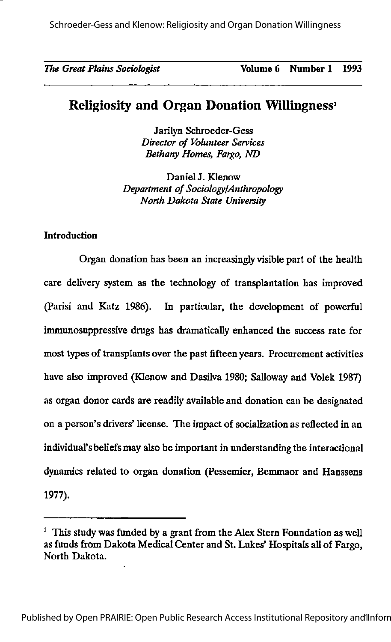Schroeder-Gess and Klenow: Religiosity and Organ Donation Willingness

The Great Plains Sociologist Volume 6 Number 1 1993

## Religiosity and Organ Donation Willingness'

Jarilyn Schroeder-Gess Director of Volunteer Services Bethany Homes, Fargo, ND

DanielJ. Klenow Department of Sociology/Anthropology North Dakota State University

#### **Introduction**

Organ donation has been an increasingly visible part of the health care delivery system as the technology of transplantation has improved (Parisi and Katz 1986). In particular, the development of powerful immunosuppressive drugs has dramatically enhanced the success rate for most types of transplants over the past fifteen years. Procurement activities have also improved (Klenow and Dasilva 1980; Salloway and Volek 1987) as organ donor cards are readily available and donation can be designated on a person's drivers' license. The impact of socialization as reflected in an individual'sbeliefs may also be important in understanding the interactional dynamics related to organ donation (Pessemier, Bemmaor and Hanssens 1977).

<sup>&</sup>lt;sup>1</sup> This study was funded by a grant from the Alex Stern Foundation as well as funds from Dakota Medical Center and St. Lukes' Hospitals all of Fargo, North Dakota.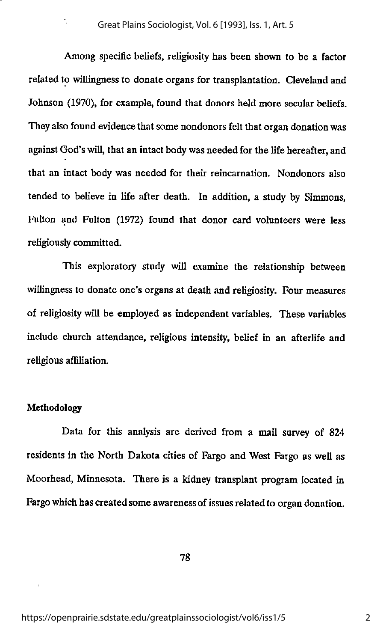Among specific beliefs, religiosity has been shown to be a factor related to willingness to donate organs for transplantation. Cleveland and Johnson (1970), for example, found that donors held more secular beliefs. They also found evidence that some nondonors felt that organ donation was against God's will, that an intact body was needed for the life hereafter, and that an intact body was needed for their reincarnation. Nondonors also tended to believe in life after death. In addition, a study by Simmons, Fulton and Fulton (1972) found that donor card volunteers were less religiously committed.

This exploratory study will examine the relationship between willingness to donate one's organs at death and religiosity. Four measures of religiosity will be employed as independent variables. These variables include church attendance, religious intensity, belief in an afterlife and religious affiliation.

#### Methodology

Data for this analysis are derived from a mail survey of 824 residents in the North Dakota cities of Fargo and West Fargo as well as Moorhead, Minnesota. There is a kidney transplant program located in Fargo which has created some awareness of issues related to organ donation.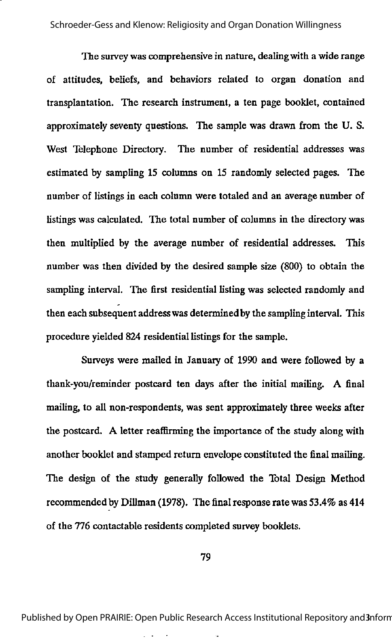The survey was comprehensive in nature, dealingwith a wide range of attitudes, beliefs, and behaviors related to organ donation and transplantation. The research instrument, a ten page booklet, contained approximately seventy questions. The sample was drawn from the U. S. West Telephone Directory. The number of residential addresses was estimated by sampling 15 columns on 15 randomly selected pages. The number of listings in each column were totaled and an average number of listings was calculated. The total number of columns in the directory was then multiplied by the average number of residential addresses. This number was then divided by the desired sample size (800) to obtain the sampling interval. The first residential listing was selected randomly and then each subsequent addresswas determined by the sampling interval. This procedure yielded 824 residential listings for the sample.

Surveys were mailed in January of 1990 and were followed by a thank-you/reminder postcard ten days after the initial mailing. A final mailing, to all non-respondents, was sent approximately three weeks after the postcard. A letter reaffirming the importance of the study along with another booklet and stamped return envelope constituted the final mailing. The design of the study generally followed the Total Design Method recommended by Dillman (1978). The final response rate was 53.4% as 414 of the 776 contactable residents completed survey booklets.

79

Published by Open PRAIRIE: Open Public Research Access Institutional Repository and 3nform

 $\sim$   $\sim$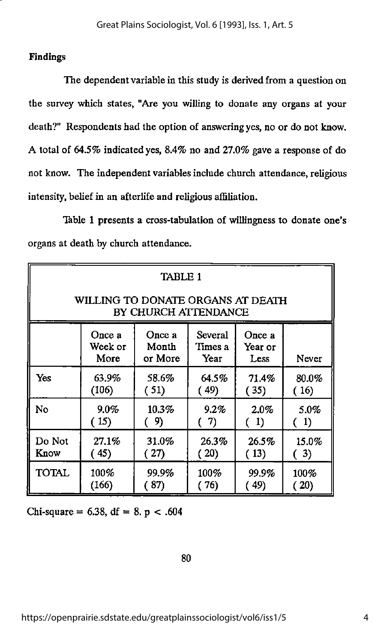### Findings

The dependent variable in this study is derived from a question on the survey which states, "Are you willing to donate any organs at your death?" Respondents had the option of answering yes, no or do not know. A total of 64.5% indicated yes, 8.4% no and 27.0% gave a response of do not know. The independent variables include church attendance, religious intensity, belief in an afterlife and religious affiliation.

Table 1 presents a cross-tabulation of willingness to donate one's organs at death by church attendance.

| TABLE 1                                                   |                           |                            |                            |                           |          |
|-----------------------------------------------------------|---------------------------|----------------------------|----------------------------|---------------------------|----------|
| WILLING TO DONATE ORGANS AT DEATH<br>BY CHURCH ATTENDANCE |                           |                            |                            |                           |          |
|                                                           | Once a<br>Week or<br>More | Once a<br>Month<br>or More | Several<br>Times a<br>Year | Once a<br>Year or<br>Less | Never    |
| Yes                                                       | 63.9%                     | 58.6%                      | 64.5%                      | 71.4%                     | $80.0\%$ |
|                                                           | (106)                     | (51)                       | (49)                       | (35)                      | (16)     |
| N <sub>o</sub>                                            | $9.0\%$                   | $10.3\%$                   | 9.2%                       | 2.0%                      | 5.0%     |
|                                                           | (15)                      | (9)                        | (7)                        | (1)                       | (1)      |
| Do Not                                                    | 27.1%                     | 31.0%                      | 26.3%                      | 26.5%                     | 15.0%    |
| Know                                                      | (45)                      | (27)                       | (20)                       | (13)                      | (3)      |
| <b>TOTAL</b>                                              | 100%                      | 99.9%                      | 100%                       | 99.9%                     | $100\%$  |
|                                                           | (166)                     | 87)                        | (76)                       | ( 49)                     | (20)     |

Chi-square =  $6.38$ , df =  $8. p < .604$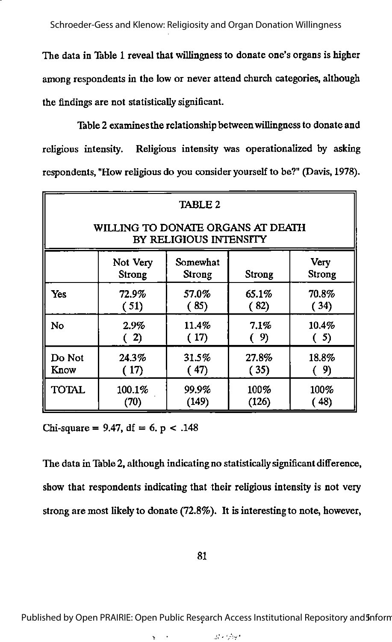Schroeder-Gess and Klenow: Religiosity and Organ Donation Willingness

The data in Table 1 reveal that willingness to donate one's organs is higher among respondents in the low or never attend church categories, although the findings are not statistically significant.

Table 2 examinesthe relationship betweenwillingness to donate and religious intensity. Religious intensity was operationalized by asking respondents, "How religious do you consider yourself to be?" (Davis, 1978).

| <b>TABLE 2</b>                                                     |                    |                    |        |                       |  |
|--------------------------------------------------------------------|--------------------|--------------------|--------|-----------------------|--|
| WILLING TO DONATE ORGANS AT DEATH<br><b>BY RELIGIOUS INTENSITY</b> |                    |                    |        |                       |  |
|                                                                    | Not Very<br>Strong | Somewhat<br>Strong | Strong | <b>Very</b><br>Strong |  |
| Yes                                                                | 72.9%              | 57.0%              | 65.1%  | 70.8%                 |  |
|                                                                    | (51)               | (85)               | (82)   | (34)                  |  |
| No                                                                 | 2.9%               | 11.4%              | 7.1%   | 10.4%                 |  |
|                                                                    | (2)                | (17)               | (9)    | (5)                   |  |
| Do Not                                                             | 24.3%              | 31.5%              | 27.8%  | 18.8%                 |  |
| Know                                                               | (17)               | (47)               | (35)   | (9)                   |  |
| <b>TOTAL</b>                                                       | 100.1%             | 99.9%              | 100%   | 100%                  |  |
|                                                                    | (70)               | (149)              | (126)  | (48)                  |  |

Chi-square = 9.47, df = 6. p < .148

The data in Table 2, although indicating no statistically significant difference, show that respondents indicating that their religious intensity is not very strong are most likety to donate (72.8%). It is interestingto note, however,

81

Published by Open PRAIRIE: Open Public Research Access Institutional Repository and Inform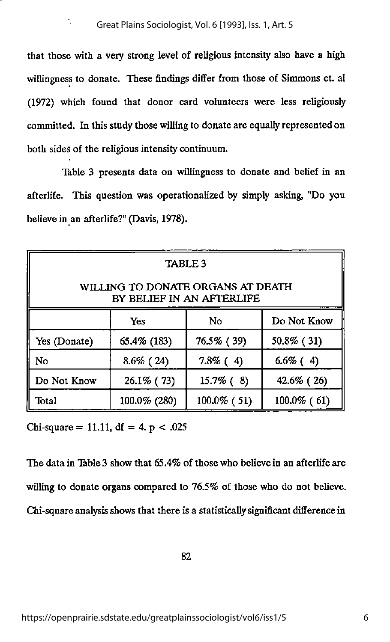that those with a very strong level of religious intensity also have a high willingness to donate. These findings differ from those of Simmons et. al (1972) which found that donor card volunteers were less religiously committed. In this study those willing to donate are equally represented on both sides of the religious intensity continuum.

Table 3 presents data on willingness to donate and belief in an afterlife. This question was operationalized by simply asking, "Do you believe in an afterlife?" (Davis, 1978).

| <b>TABLE 3</b>                                                 |               |                |                |  |  |
|----------------------------------------------------------------|---------------|----------------|----------------|--|--|
| WILLING TO DONATE ORGANS AT DEATH<br>BY BELIEF IN AN AFTERLIFE |               |                |                |  |  |
|                                                                | Yes           | No             | Do Not Know    |  |  |
| Yes (Donate)                                                   | 65.4% (183)   | 76.5% (39)     | 50.8% (31)     |  |  |
| No                                                             | $8.6\%$ (24)  | $7.8\%$ (4)    | $6.6\%$ (4)    |  |  |
| Do Not Know                                                    | $26.1\%$ (73) | $15.7\%$ (8)   | 42.6% (26)     |  |  |
| Total                                                          | 100.0% (280)  | $100.0\%$ (51) | $100.0\%$ (61) |  |  |

Chi-square = 11.11, df = 4.  $p < .025$ 

The data in Table 3 show that 65.4% of those who believe in an afterlife are willing to donate organs compared to 76.5% of those who do not believe. Chi-square anatysis shows that there is a statistically significant difference in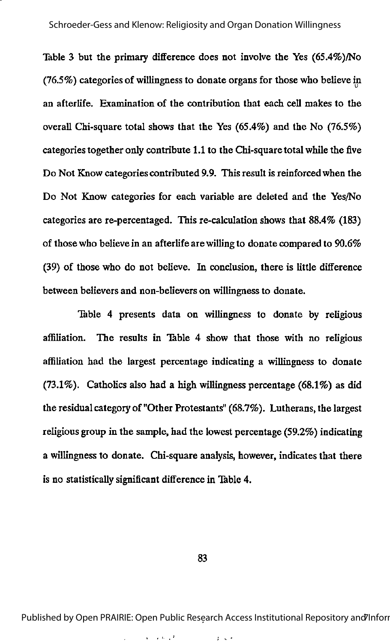Table 3 but the primary difference does not involve the Yes  $(65.4\%)$ No (76.5%) categories of willingness to donate organs for those who believe in an afterlife. Examination of the contribution that each cell makes to the overall Chi-square total shows that the Yes (65.4%) and the No (76.5%) categories together onty contribute 1.1 to the Chi-square total while the five Do Not Know categories contributed 9.9. This result is reinforced when the Do Not Know categories for each variable are deleted and the Yes/No categories are re-percentaged. This re-calculation shows that 88.4% (183) of those who believe in an afterlife are willing to donate compared to 90.6% (39) of those who do not believe. In conclusion, there is little difference between believers and non-believers on willingness to donate.

Table 4 presents data on willingness to donate by religious affiliation. The results in Table 4 show that those with no religious affiliation had the largest percentage indicating a willingness to donate  $(73.1\%)$ . Catholics also had a high willingness percentage (68.1%) as did the residual category of "Other Protestants" (68.7%). Lutherans, the largest religious group in the sample, had the lowest percentage (59.2%) indicating a willingness to donate. Chi-square analysis, however, indicates that there is no statistically significant difference in Table 4.

#### 83

Published by Open PRAIRIE: Open Public Research Access Institutional Repository and Inforr

 $\mathbf{r}=(\mathbf{r},\mathbf{r})\in\mathbb{R}^3$  $2\times 10^{-4}$ **Contractor**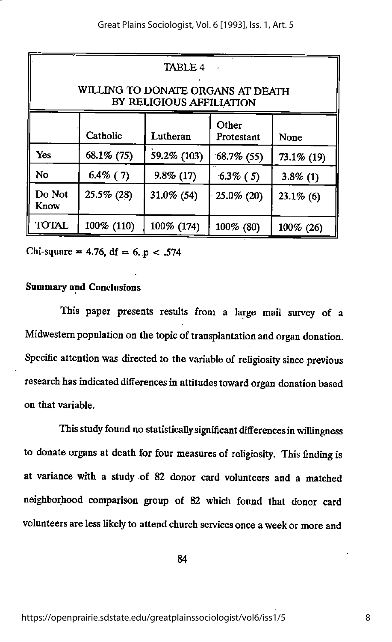| <b>TABLE 4</b><br>WILLING TO DONATE ORGANS AT DEATH<br>BY RELIGIOUS AFFILIATION |             |              |                             |              |  |
|---------------------------------------------------------------------------------|-------------|--------------|-----------------------------|--------------|--|
|                                                                                 | Catholic    | Lutheran     | Other<br>Protestant<br>None |              |  |
| Yes                                                                             | 68.1% (75)  | 59.2% (103)  | $68.7\%$ (55)               | 73.1% (19)   |  |
| No                                                                              | $6.4\%$ (7) | $9.8\%$ (17) | $6.3\%$ (5)                 | $3.8\%$ (1)  |  |
| Do Not<br>Know                                                                  | 25.5% (28)  | 31.0% (54)   | 25.0% (20)                  | $23.1\%$ (6) |  |
| <b>TOTAL</b>                                                                    | 100% (110)  | 100% (174)   | 100% (80)                   | 100% (26)    |  |

Chi-square = 4.76, df = 6. p < .574

#### Summary and Conclusions

This paper presents results from a large mail survey of a Midwestern population on the topic of transplantation and organ donation. Specific attention was directed to the variable of religiosity since previous research has indicated differences in attitudes toward organ donation based on that variable.

This study found no statisticallysignificant differencesinwillingness to donate organs at death for four measures of religiosity. This finding is at variance with a study of 82 donor card volunteers and a matched neighborhood comparison group of 82 which found that donor card volunteers are less likely to attend church servicesonce a week or more and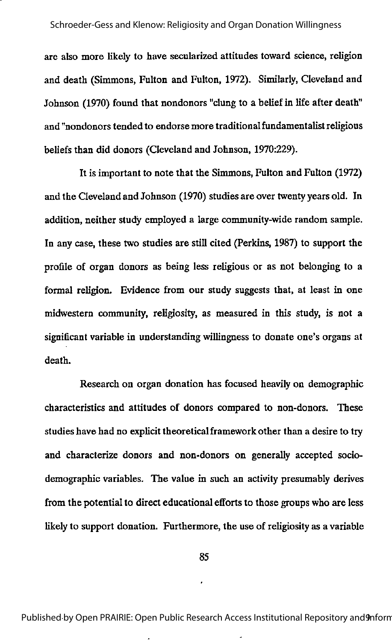are also more likely to have secularized attitudes toward science, religion and death (Simmons, Fulton and Fulton, 1972). Similarly, Cleveland and Johnson (1970) found that nondonors "clung to a belief in life after death" and "nondonors tended to endorse more traditionalfundamentalistreligious beliefs than did donors (Cleveland and Johnson, 1970:229).

It is important to note that the Simmons, Fulton and Fulton (1972) and the Cleveland and Johnson (1970) studies are over twenty years old. In addition, neither study employed a large community-wide random sample. In any case, these two studies are still cited (Perkins, 1987) to support the profile of organ donors as being less religious or as not belonging to a formal religion. Evidence from our study suggests that, at least in one midwestem community, religiosity, as measured in this study, is not a significant variable in understanding willingness to donate one's organs at death.

Research on organ donation has focused heavily on demographic characteristics and attitudes of donors compared to non-donors. These studies have had no explicit theoreticalframework other than a desire to try and characterize donors and non-donors on generally accepted sociodemographic variables. The value in such an activity presumably derives from the potential to direct educational efforts to those groups who are less likely to support donation. Furthermore, the use of religiosity as a variable

85

Published by Open PRAIRIE: Open Public Research Access Institutional Repository and 9mform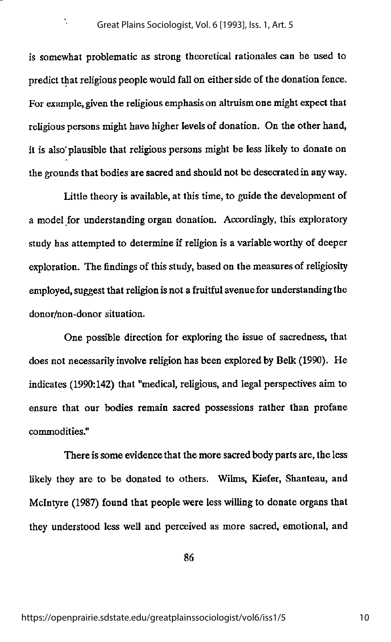$\ddot{\cdot}$ 

is somewhat problematic as strong theoretical rationales can be used to predict that religious people would fall on either side of the donation fence. For example, given the religious emphasis on altruism one might expect that religious persons might have higher levels of donation. On the other hand, it is also plausible that religious persons might be less likely to donate on the grounds that bodies are sacred and should not be desecrated in anyway.

Little theory is available, at this time, to guide the development of a model for understanding organ donation. Accordingty, this exploratory study has attempted to determine if religion is a variable worthy of deeper exploration. The findings of this study, based on the measures of religiosity employed, suggest that religion is not a fruitful avenue for understanding the donor/non-donor situation.

One possible direction for exploring the issue of sacredness, that does not necessarily involve religion has been explored by Belk (1990). He indicates (1990:142) that "medical, religious, and legal perspectives aim to ensure that our bodies remain sacred possessions rather than profane commodities."

There is some evidence that the more sacred body parts are, the less likely they are to be donated to others. Wilms, Kiefer, Shanteau, and Mclntyre (1987) found that people were less willing to donate organs that they understood less well and perceived as more sacred, emotional, and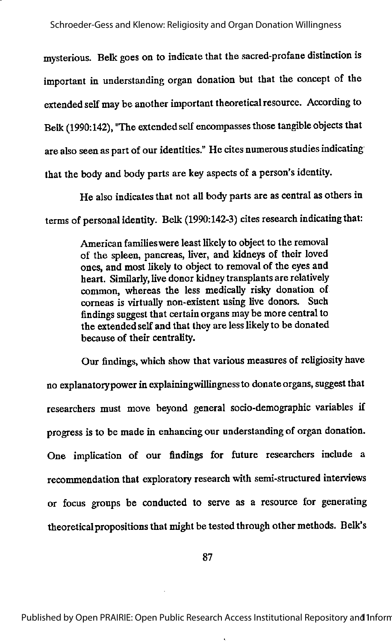mysterious. Belk goes on to indicate that the sacred-profane distinction is important in understanding organ donation but that the concept of the extended self may be another important theoretical resource. According to Belk (1990:142), "The extendedself encompassesthose tangible objects that are also seen as part of our identities." He cites numerous studies indicating that the body and body parts are key aspects of a person's identity.

He also indicates that not all body parts are as central as others in terms of personal identity. Belk (1990:142-3) cites research indicating that:

> American families were least likely to object to the removal of the spleen, pancreas, liver, and kidneys of their loved ones, and most likely to object to removal of the eyes and heart. Similarly, live donor kidney transplants are relatively common, whereas the less medically risky donation of corneas is virtually non-existent using live donors. Such findings suggest that certainorgans may be morecentral to the extended self and that they are less likely to be donated because of their centrality.

Our findings, which show that various measures of religiosity have no explanatory power in explaining willingness to donate organs, suggest that researchers must move beyond general socio-demographic variables if progress is to be made in enhancing our understanding of organ donation. One implication of our findings for future researchers include a recommendation that exploratory researchwith semi-structured interviews or focus groups be conducted to serve as a resource for generating theoretical propositions that might be tested through other methods. Belk's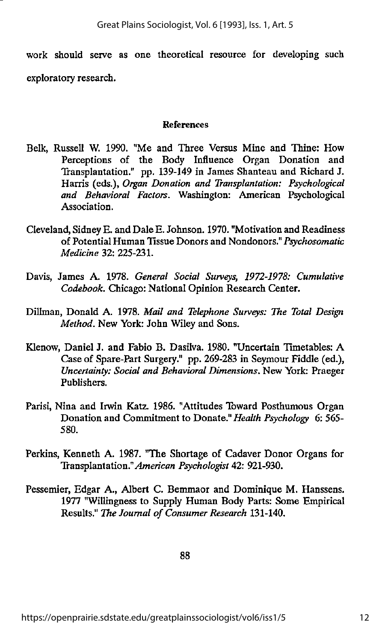work should serve as one theoretical resource for developing such exploratory research.

#### References

- Belk, Russell W. 1990. "Me and Three Versus Mine and Thine: How Perceptions of the Body Influence Organ Donation and Transplantation." pp. 139-149 in James Shanteau and Richard J. Harris (eds.), Organ Donation and Transplantation: Psychological and Behavioral Factors. Washington: American Psychological Association.
- Cleveland, Sidney E. and Dale E. Johnson. 1970. "Motivation and Readiness of Potential Human Tissue Donors and Nondonors." Psychosomatic Medicine 32: 225-231.
- Davis, James A. 1978. General Social Surveys, 1972-1978: Cumulative Codebook. Chicago: National Opinion Research Center.
- Dillman, Donald A. 1978. Mail and Telephone Surveys: The Total Design Method. New York: John Wiley and Sons.
- Klenow, Daniel J. and Fabio B. Dasilva. 1980. "Uncertain Timetables: A Case of Spare-Part Surgery." pp. 269-283 in Seymour Fiddle (ed.). Uncertainty: Social and Behavioral Dimensions. New York: Praeger Publishers.
- Parisi, Nina and Irwin Katz. 1986. "Attitudes Toward Posthumous Organ Donation and Commitment to Donate." Health Psychology 6: 565- 580.
- Perkins, Kenneth A. 1987. "The Shortage of Cadaver Donor Organs for Transplantation." American Psychologist 42: 921-930.
- Pessemier, Edgar A., Albert C. Bemmaor and Dominique M. Hanssens. 1977 "Willingness to Supply Human Body Parts: Some Empirical Results." The Journal of Consumer Research 131-140.